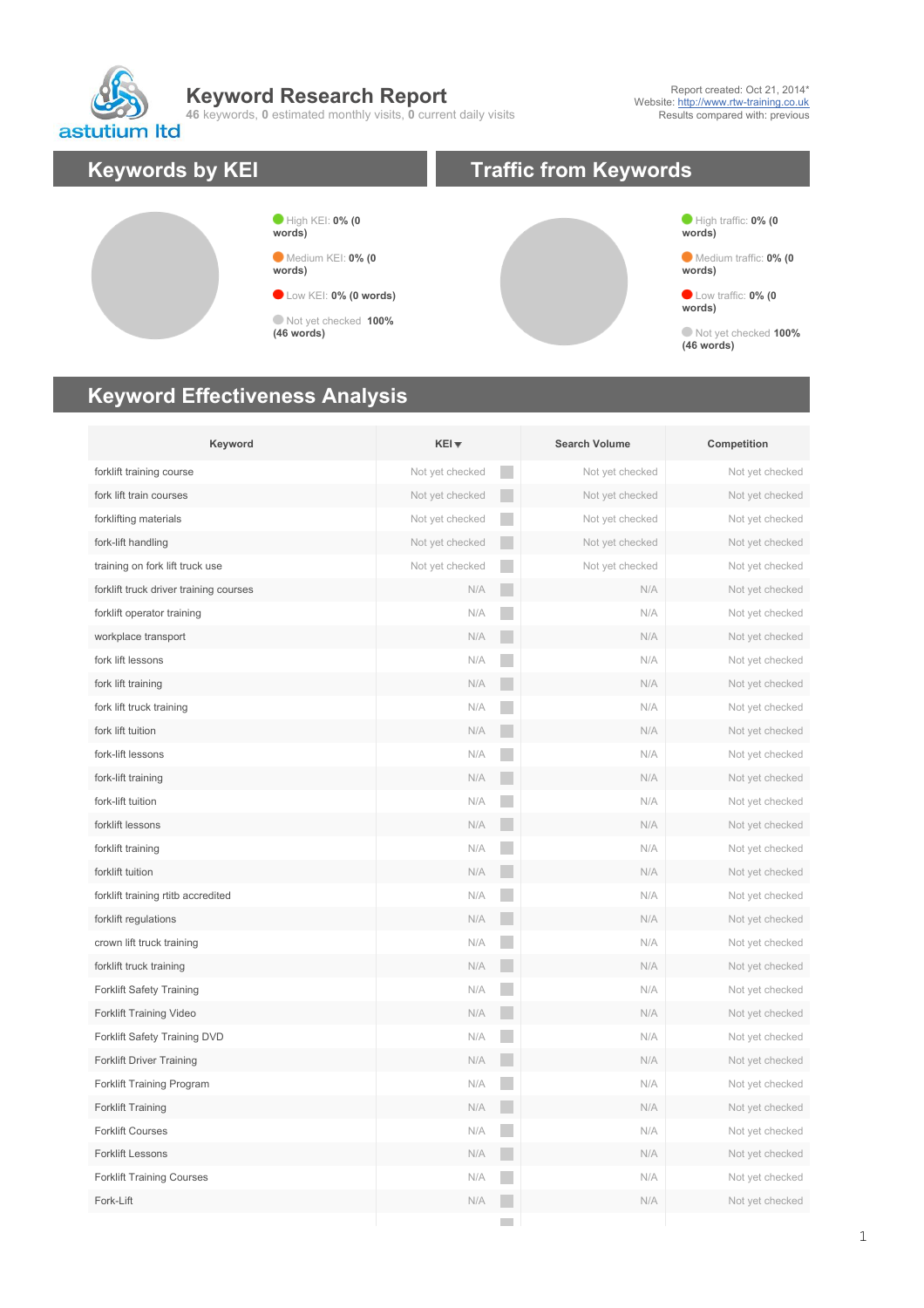**Keyword Research Report**

**46** keywords, **0** estimated monthly visits, **0** current daily visits

Report created: Oct 21, 2014\* Website:<http://www.rtw-training.co.uk> Results compared with: previous



## **Keyword Effectiveness Analysis**

| Keyword                                | $KEI +$         |                | <b>Search Volume</b> | Competition     |
|----------------------------------------|-----------------|----------------|----------------------|-----------------|
| forklift training course               | Not yet checked |                | Not yet checked      | Not yet checked |
| fork lift train courses                | Not yet checked |                | Not yet checked      | Not yet checked |
| forklifting materials                  | Not yet checked | <b>College</b> | Not yet checked      | Not yet checked |
| fork-lift handling                     | Not yet checked | in 1           | Not yet checked      | Not yet checked |
| training on fork lift truck use        | Not yet checked |                | Not yet checked      | Not yet checked |
| forklift truck driver training courses | N/A             | $\mathbb{R}^n$ | N/A                  | Not yet checked |
| forklift operator training             | N/A             |                | N/A                  | Not yet checked |
| workplace transport                    | N/A             | in.            | N/A                  | Not yet checked |
| fork lift lessons                      | N/A             |                | N/A                  | Not yet checked |
| fork lift training                     | N/A             | in 1           | N/A                  | Not yet checked |
| fork lift truck training               | N/A             | in.            | N/A                  | Not yet checked |
| fork lift tuition                      | N/A             | in.            | N/A                  | Not yet checked |
| fork-lift lessons                      | N/A             |                | N/A                  | Not yet checked |
| fork-lift training                     | N/A             |                | N/A                  | Not yet checked |
| fork-lift tuition                      | N/A             |                | N/A                  | Not yet checked |
| forklift lessons                       | N/A             | r.             | N/A                  | Not yet checked |
| forklift training                      | N/A             |                | N/A                  | Not yet checked |
| forklift tuition                       | N/A             |                | N/A                  | Not yet checked |
| forklift training rtitb accredited     | N/A             |                | N/A                  | Not yet checked |
| forklift regulations                   | N/A             |                | N/A                  | Not yet checked |
| crown lift truck training              | N/A             |                | N/A                  | Not yet checked |
| forklift truck training                | N/A             | in.            | N/A                  | Not yet checked |
| <b>Forklift Safety Training</b>        | N/A             |                | N/A                  | Not yet checked |
| Forklift Training Video                | N/A             | <b>College</b> | N/A                  | Not yet checked |
| Forklift Safety Training DVD           | N/A             | in.            | N/A                  | Not yet checked |
| <b>Forklift Driver Training</b>        | N/A             |                | N/A                  | Not yet checked |
| Forklift Training Program              | N/A             | in.            | N/A                  | Not yet checked |
| <b>Forklift Training</b>               | N/A             | in.            | N/A                  | Not yet checked |
| <b>Forklift Courses</b>                | N/A             |                | N/A                  | Not yet checked |
| <b>Forklift Lessons</b>                | N/A             |                | N/A                  | Not yet checked |
| <b>Forklift Training Courses</b>       | N/A             |                | N/A                  | Not yet checked |
| Fork-Lift                              | N/A             |                | N/A                  | Not yet checked |
|                                        |                 |                |                      |                 |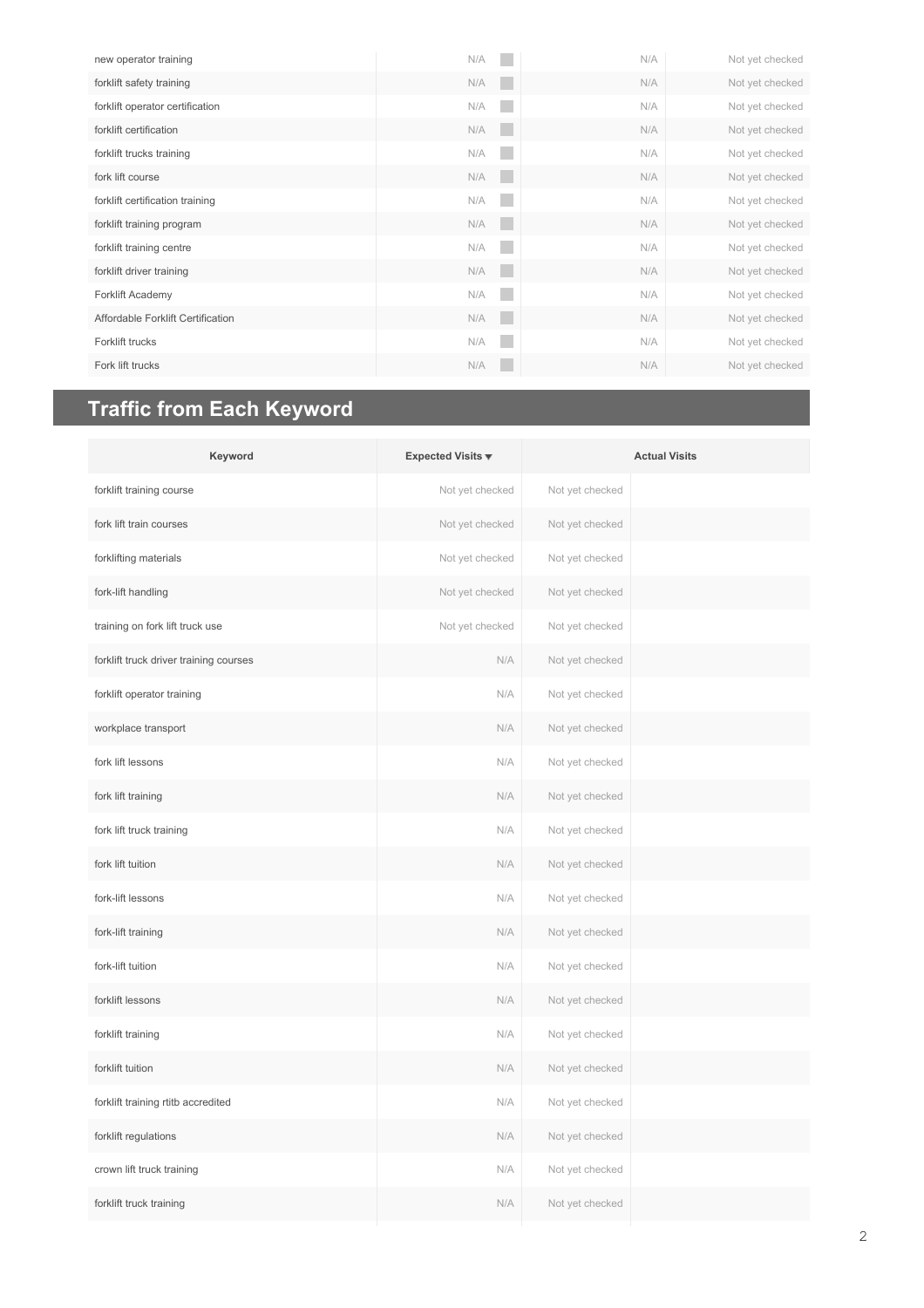| new operator training             | N/A        | N/A | Not yet checked |
|-----------------------------------|------------|-----|-----------------|
| forklift safety training          | N/A<br>٠   | N/A | Not yet checked |
| forklift operator certification   | N/A        | N/A | Not yet checked |
| forklift certification            | N/A<br>٠   | N/A | Not yet checked |
| forklift trucks training          | N/A        | N/A | Not yet checked |
| fork lift course                  | ٠<br>N/A   | N/A | Not yet checked |
| forklift certification training   | N/A        | N/A | Not yet checked |
| forklift training program         | N/A<br>٠   | N/A | Not yet checked |
| forklift training centre          | N/A        | N/A | Not yet checked |
| forklift driver training          | N/A<br>a s | N/A | Not yet checked |
| Forklift Academy                  | N/A        | N/A | Not yet checked |
| Affordable Forklift Certification | N/A<br>٠   | N/A | Not yet checked |
| Forklift trucks                   | N/A<br>a.  | N/A | Not yet checked |
| Fork lift trucks                  | N/A        | N/A | Not yet checked |

## **Traffic from Each Keyword**

| Keyword                                | Expected Visits $\overline{\mathbf{v}}$ |                 | <b>Actual Visits</b> |
|----------------------------------------|-----------------------------------------|-----------------|----------------------|
| forklift training course               | Not yet checked                         | Not yet checked |                      |
| fork lift train courses                | Not yet checked                         | Not yet checked |                      |
| forklifting materials                  | Not yet checked                         | Not yet checked |                      |
| fork-lift handling                     | Not yet checked                         | Not yet checked |                      |
| training on fork lift truck use        | Not yet checked                         | Not yet checked |                      |
| forklift truck driver training courses | N/A                                     | Not yet checked |                      |
| forklift operator training             | N/A                                     | Not yet checked |                      |
| workplace transport                    | N/A                                     | Not yet checked |                      |
| fork lift lessons                      | N/A                                     | Not yet checked |                      |
| fork lift training                     | N/A                                     | Not yet checked |                      |
| fork lift truck training               | N/A                                     | Not yet checked |                      |
| fork lift tuition                      | N/A                                     | Not yet checked |                      |
| fork-lift lessons                      | N/A                                     | Not yet checked |                      |
| fork-lift training                     | N/A                                     | Not yet checked |                      |
| fork-lift tuition                      | N/A                                     | Not yet checked |                      |
| forklift lessons                       | N/A                                     | Not yet checked |                      |
| forklift training                      | N/A                                     | Not yet checked |                      |
| forklift tuition                       | N/A                                     | Not yet checked |                      |
| forklift training rtitb accredited     | N/A                                     | Not yet checked |                      |
| forklift regulations                   | N/A                                     | Not yet checked |                      |
| crown lift truck training              | N/A                                     | Not yet checked |                      |
| forklift truck training                | N/A                                     | Not yet checked |                      |